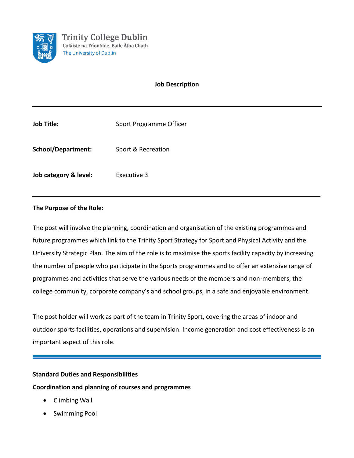

# **Job Description**

| <b>Job Title:</b>         | Sport Programme Officer |
|---------------------------|-------------------------|
| <b>School/Department:</b> | Sport & Recreation      |
| Job category & level:     | Executive 3             |

# **The Purpose of the Role:**

The post will involve the planning, coordination and organisation of the existing programmes and future programmes which link to the Trinity Sport Strategy for Sport and Physical Activity and the University Strategic Plan. The aim of the role is to maximise the sports facility capacity by increasing the number of people who participate in the Sports programmes and to offer an extensive range of programmes and activities that serve the various needs of the members and non-members, the college community, corporate company's and school groups, in a safe and enjoyable environment.

The post holder will work as part of the team in Trinity Sport, covering the areas of indoor and outdoor sports facilities, operations and supervision. Income generation and cost effectiveness is an important aspect of this role.

## **Standard Duties and Responsibilities**

**Coordination and planning of courses and programmes**

- Climbing Wall
- Swimming Pool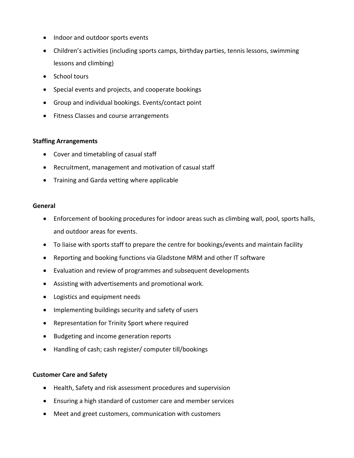- Indoor and outdoor sports events
- Children's activities (including sports camps, birthday parties, tennis lessons, swimming lessons and climbing)
- School tours
- Special events and projects, and cooperate bookings
- Group and individual bookings. Events/contact point
- Fitness Classes and course arrangements

# **Staffing Arrangements**

- Cover and timetabling of casual staff
- Recruitment, management and motivation of casual staff
- Training and Garda vetting where applicable

## **General**

- Enforcement of booking procedures for indoor areas such as climbing wall, pool, sports halls, and outdoor areas for events.
- To liaise with sports staff to prepare the centre for bookings/events and maintain facility
- Reporting and booking functions via Gladstone MRM and other IT software
- Evaluation and review of programmes and subsequent developments
- Assisting with advertisements and promotional work.
- Logistics and equipment needs
- Implementing buildings security and safety of users
- Representation for Trinity Sport where required
- Budgeting and income generation reports
- Handling of cash; cash register/ computer till/bookings

## **Customer Care and Safety**

- Health, Safety and risk assessment procedures and supervision
- Ensuring a high standard of customer care and member services
- Meet and greet customers, communication with customers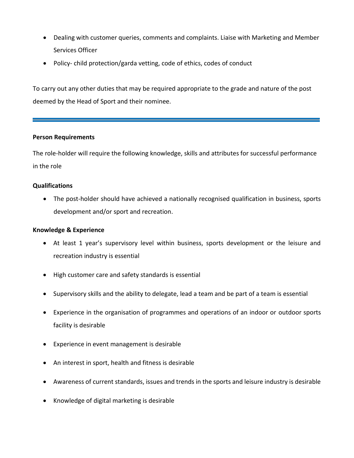- Dealing with customer queries, comments and complaints. Liaise with Marketing and Member Services Officer
- Policy- child protection/garda vetting, code of ethics, codes of conduct

To carry out any other duties that may be required appropriate to the grade and nature of the post deemed by the Head of Sport and their nominee.

## **Person Requirements**

The role-holder will require the following knowledge, skills and attributes for successful performance in the role

## **Qualifications**

• The post-holder should have achieved a nationally recognised qualification in business, sports development and/or sport and recreation.

### **Knowledge & Experience**

- At least 1 year's supervisory level within business, sports development or the leisure and recreation industry is essential
- High customer care and safety standards is essential
- Supervisory skills and the ability to delegate, lead a team and be part of a team is essential
- Experience in the organisation of programmes and operations of an indoor or outdoor sports facility is desirable
- Experience in event management is desirable
- An interest in sport, health and fitness is desirable
- Awareness of current standards, issues and trends in the sports and leisure industry is desirable
- Knowledge of digital marketing is desirable